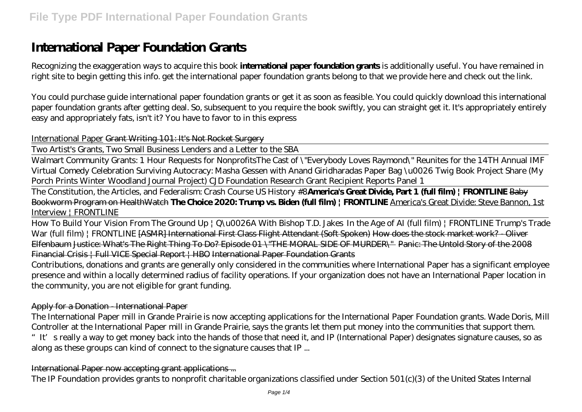# **International Paper Foundation Grants**

Recognizing the exaggeration ways to acquire this book **international paper foundation grants** is additionally useful. You have remained in right site to begin getting this info. get the international paper foundation grants belong to that we provide here and check out the link.

You could purchase guide international paper foundation grants or get it as soon as feasible. You could quickly download this international paper foundation grants after getting deal. So, subsequent to you require the book swiftly, you can straight get it. It's appropriately entirely easy and appropriately fats, isn't it? You have to favor to in this express

#### International Paper Grant Writing 101: It's Not Rocket Surgery

Two Artist's Grants, Two Small Business Lenders and a Letter to the SBA

Walmart Community Grants: 1 Hour Requests for Nonprofits*The Cast of \"Everybody Loves Raymond\" Reunites for the 14TH Annual IMF Virtual Comedy Celebration* Surviving Autocracy: Masha Gessen with Anand Giridharadas *Paper Bag \u0026 Twig Book Project Share (My Porch Prints Winter Woodland Journal Project)* CJD Foundation Research Grant Recipient Reports Panel 1

The Constitution, the Articles, and Federalism: Crash Course US History #8**America's Great Divide, Part 1 (full film) | FRONTLINE** Baby Bookworm Program on HealthWatch **The Choice 2020: Trump vs. Biden (full film) | FRONTLINE** America's Great Divide: Steve Bannon, 1st Interview | FRONTLINE

How To Build Your Vision From The Ground Up | Q\u0026A With Bishop T.D. Jakes In the Age of AI (full film) | FRONTLINE *Trump's Trade War (full film) | FRONTLINE* [ASMR] International First Class Flight Attendant (Soft Spoken) How does the stock market work? Oliver Elfenbaum Justice: What's The Right Thing To Do? Episode 01 \"THE MORAL SIDE OF MURDER\" Panic: The Untold Story of the 2008 Financial Crisis | Full VICE Special Report | HBO International Paper Foundation Grants

Contributions, donations and grants are generally only considered in the communities where International Paper has a significant employee presence and within a locally determined radius of facility operations. If your organization does not have an International Paper location in the community, you are not eligible for grant funding.

### Apply for a Donation - International Paper

The International Paper mill in Grande Prairie is now accepting applications for the International Paper Foundation grants. Wade Doris, Mill Controller at the International Paper mill in Grande Prairie, says the grants let them put money into the communities that support them. "It's really a way to get money back into the hands of those that need it, and IP (International Paper) designates signature causes, so as along as these groups can kind of connect to the signature causes that IP ...

International Paper now accepting grant applications ...

The IP Foundation provides grants to nonprofit charitable organizations classified under Section 501(c)(3) of the United States Internal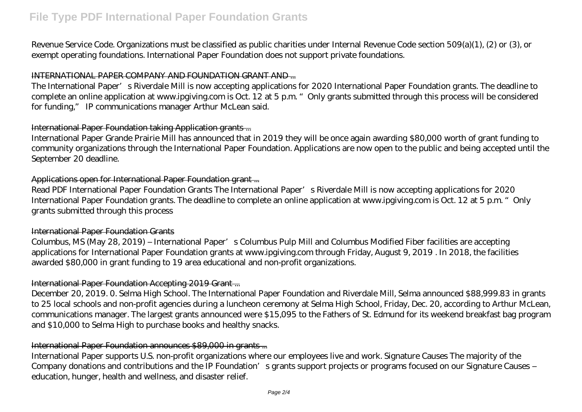# **File Type PDF International Paper Foundation Grants**

Revenue Service Code. Organizations must be classified as public charities under Internal Revenue Code section 509(a)(1), (2) or (3), or exempt operating foundations. International Paper Foundation does not support private foundations.

#### INTERNATIONAL PAPER COMPANY AND FOUNDATION GRANT AND ...

The International Paper's Riverdale Mill is now accepting applications for 2020 International Paper Foundation grants. The deadline to complete an online application at www.ipgiving.com is Oct. 12 at 5 p.m. "Only grants submitted through this process will be considered for funding," IP communications manager Arthur McLean said.

### International Paper Foundation taking Application grants ...

International Paper Grande Prairie Mill has announced that in 2019 they will be once again awarding \$80,000 worth of grant funding to community organizations through the International Paper Foundation. Applications are now open to the public and being accepted until the September 20 deadline.

# Applications open for International Paper Foundation grant ...

Read PDF International Paper Foundation Grants The International Paper's Riverdale Mill is now accepting applications for 2020 International Paper Foundation grants. The deadline to complete an online application at www.ipgiving.com is Oct. 12 at 5 p.m. "Only grants submitted through this process

### International Paper Foundation Grants

Columbus, MS (May 28, 2019) – International Paper's Columbus Pulp Mill and Columbus Modified Fiber facilities are accepting applications for International Paper Foundation grants at www.ipgiving.com through Friday, August 9, 2019 . In 2018, the facilities awarded \$80,000 in grant funding to 19 area educational and non-profit organizations.

# International Paper Foundation Accepting 2019 Grant ...

December 20, 2019. 0. Selma High School. The International Paper Foundation and Riverdale Mill, Selma announced \$88,999.83 in grants to 25 local schools and non-profit agencies during a luncheon ceremony at Selma High School, Friday, Dec. 20, according to Arthur McLean, communications manager. The largest grants announced were \$15,095 to the Fathers of St. Edmund for its weekend breakfast bag program and \$10,000 to Selma High to purchase books and healthy snacks.

# International Paper Foundation announces \$89,000 in grants ...

International Paper supports U.S. non-profit organizations where our employees live and work. Signature Causes The majority of the Company donations and contributions and the IP Foundation's grants support projects or programs focused on our Signature Causes – education, hunger, health and wellness, and disaster relief.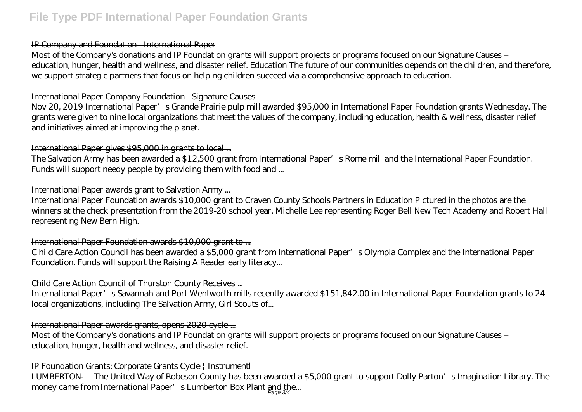# **File Type PDF International Paper Foundation Grants**

### IP Company and Foundation - International Paper

Most of the Company's donations and IP Foundation grants will support projects or programs focused on our Signature Causes – education, hunger, health and wellness, and disaster relief. Education The future of our communities depends on the children, and therefore, we support strategic partners that focus on helping children succeed via a comprehensive approach to education.

### International Paper Company Foundation - Signature Causes

Nov 20, 2019 International Paper's Grande Prairie pulp mill awarded \$95,000 in International Paper Foundation grants Wednesday. The grants were given to nine local organizations that meet the values of the company, including education, health & wellness, disaster relief and initiatives aimed at improving the planet.

# International Paper gives \$95,000 in grants to local ...

The Salvation Army has been awarded a \$12,500 grant from International Paper's Rome mill and the International Paper Foundation. Funds will support needy people by providing them with food and ...

# International Paper awards grant to Salvation Army ...

International Paper Foundation awards \$10,000 grant to Craven County Schools Partners in Education Pictured in the photos are the winners at the check presentation from the 2019-20 school year, Michelle Lee representing Roger Bell New Tech Academy and Robert Hall representing New Bern High.

# International Paper Foundation awards \$10,000 grant to ...

C hild Care Action Council has been awarded a \$5,000 grant from International Paper's Olympia Complex and the International Paper Foundation. Funds will support the Raising A Reader early literacy...

# Child Care Action Council of Thurston County Receives ...

International Paper's Savannah and Port Wentworth mills recently awarded \$151,842.00 in International Paper Foundation grants to 24 local organizations, including The Salvation Army, Girl Scouts of...

# International Paper awards grants, opens 2020 cycle ...

Most of the Company's donations and IP Foundation grants will support projects or programs focused on our Signature Causes – education, hunger, health and wellness, and disaster relief.

# IP Foundation Grants: Corporate Grants Cycle | Instrumentl

LUMBERTON — The United Way of Robeson County has been awarded a \$5,000 grant to support Dolly Parton's Imagination Library. The money came from International Paper's Lumberton Box Plant and the...